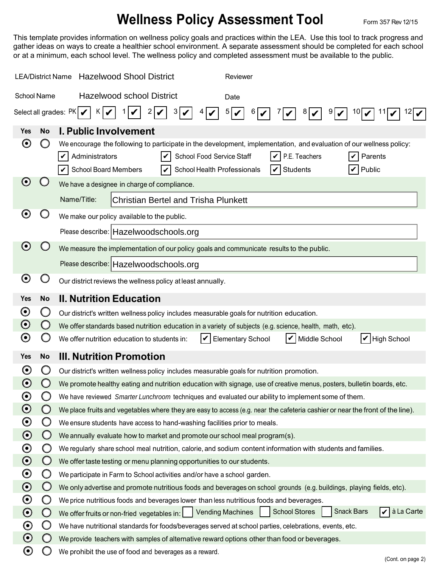## **Wellness Policy Assessment Tool** Form 357 Rev 12/15

This template provides information on wellness policy goals and practices within the LEA. Use this tool to track progress and gather ideas on ways to create a healthier school environment. A separate assessment should be completed for each school or at a minimum, each school level. The wellness policy and completed assessment must be available to the public.

| <b>Hazelwood Shool District</b><br><b>LEA/District Name</b><br>Reviewer |            |                                                                                                                                                                                                                                                                                                                         |  |  |
|-------------------------------------------------------------------------|------------|-------------------------------------------------------------------------------------------------------------------------------------------------------------------------------------------------------------------------------------------------------------------------------------------------------------------------|--|--|
| <b>Hazelwood school District</b><br><b>School Name</b><br>Date          |            |                                                                                                                                                                                                                                                                                                                         |  |  |
| Select all grades: $PK$<br>5<br>$K \mid$<br>2<br>10<br>6  <br>9<br>8    |            |                                                                                                                                                                                                                                                                                                                         |  |  |
| Yes                                                                     | <b>No</b>  | I. Public Involvement                                                                                                                                                                                                                                                                                                   |  |  |
| $\boldsymbol{\Theta}$                                                   |            | We encourage the following to participate in the development, implementation, and evaluation of our wellness policy:<br>Administrators<br>School Food Service Staff<br>P.E. Teachers<br>Parents<br>$\boldsymbol{v}$<br>V<br><b>School Board Members</b><br>School Health Professionals<br>Public<br>Students<br>V<br>IV |  |  |
| $\boldsymbol{\Theta}$                                                   |            | We have a designee in charge of compliance.                                                                                                                                                                                                                                                                             |  |  |
|                                                                         |            | Name/Title:<br><b>Christian Bertel and Trisha Plunkett</b>                                                                                                                                                                                                                                                              |  |  |
| $\boldsymbol{\Theta}$                                                   |            | We make our policy available to the public.                                                                                                                                                                                                                                                                             |  |  |
|                                                                         |            | Please describe: Hazelwoodschools.org                                                                                                                                                                                                                                                                                   |  |  |
| $\boldsymbol{\Theta}$                                                   |            | We measure the implementation of our policy goals and communicate results to the public.                                                                                                                                                                                                                                |  |  |
|                                                                         |            | Please describe: Hazelwoodschools.org                                                                                                                                                                                                                                                                                   |  |  |
| $\boldsymbol{\Theta}$                                                   |            | Our district reviews the wellness policy at least annually.                                                                                                                                                                                                                                                             |  |  |
| Yes                                                                     | <b>No</b>  | <b>II. Nutrition Education</b>                                                                                                                                                                                                                                                                                          |  |  |
| $\boldsymbol{\Theta}$                                                   |            | Our district's written wellness policy includes measurable goals for nutrition education.                                                                                                                                                                                                                               |  |  |
| $\boldsymbol{\Theta}$                                                   | $\cup$     | We offer standards based nutrition education in a variety of subjects (e.g. science, health, math, etc).                                                                                                                                                                                                                |  |  |
| $\boldsymbol{\Theta}$                                                   |            | Middle School<br>$ V $ High School<br><b>Elementary School</b><br>We offer nutrition education to students in:                                                                                                                                                                                                          |  |  |
| <b>Yes</b>                                                              | <b>No</b>  | <b>III. Nutrition Promotion</b>                                                                                                                                                                                                                                                                                         |  |  |
| $\mathbf \Theta$                                                        |            | Our district's written wellness policy includes measurable goals for nutrition promotion.                                                                                                                                                                                                                               |  |  |
| $\boldsymbol{\Theta}$                                                   |            | We promote healthy eating and nutrition education with signage, use of creative menus, posters, bulletin boards, etc.                                                                                                                                                                                                   |  |  |
| $\boldsymbol{\Theta}$                                                   |            | We have reviewed Smarter Lunchroom techniques and evaluated our ability to implement some of them.                                                                                                                                                                                                                      |  |  |
| $\boldsymbol{\odot}$                                                    | $\bigcirc$ | We place fruits and vegetables where they are easy to access (e.g. near the cafeteria cashier or near the front of the line).                                                                                                                                                                                           |  |  |
| $\boldsymbol{\odot}$                                                    | $\bigcirc$ | We ensure students have access to hand-washing facilities prior to meals.                                                                                                                                                                                                                                               |  |  |
| $\boldsymbol{\odot}$                                                    | $\bigcirc$ | We annually evaluate how to market and promote our school meal program(s).                                                                                                                                                                                                                                              |  |  |
| $\boldsymbol{\odot}$                                                    | O          | We regularly share school meal nutrition, calorie, and sodium content information with students and families.                                                                                                                                                                                                           |  |  |
| $\odot$                                                                 | $\bigcirc$ | We offer taste testing or menu planning opportunities to our students.                                                                                                                                                                                                                                                  |  |  |
| $\boldsymbol{\odot}$                                                    | O          | We participate in Farm to School activities and/or have a school garden.                                                                                                                                                                                                                                                |  |  |
| $\boldsymbol{\odot}$                                                    | $\bigcirc$ | We only advertise and promote nutritious foods and beverages on school grounds (e.g. buildings, playing fields, etc).                                                                                                                                                                                                   |  |  |
| $\boldsymbol{\odot}$                                                    | O          | We price nutritious foods and beverages lower than less nutritious foods and beverages.                                                                                                                                                                                                                                 |  |  |
| $\boldsymbol{\odot}$                                                    | $\bigcirc$ | à La Carte<br><b>Snack Bars</b><br><b>Vending Machines</b><br><b>School Stores</b><br>We offer fruits or non-fried vegetables in:<br>V                                                                                                                                                                                  |  |  |
| $\boldsymbol{\odot}$                                                    | Ő          | We have nutritional standards for foods/beverages served at school parties, celebrations, events, etc.                                                                                                                                                                                                                  |  |  |
| $\boldsymbol{\odot}$                                                    | $\cup$     | We provide teachers with samples of alternative reward options other than food or beverages.                                                                                                                                                                                                                            |  |  |
| $\boldsymbol{\Theta}$                                                   | O)         | We prohibit the use of food and beverages as a reward.<br>(Cont. on page 2)                                                                                                                                                                                                                                             |  |  |